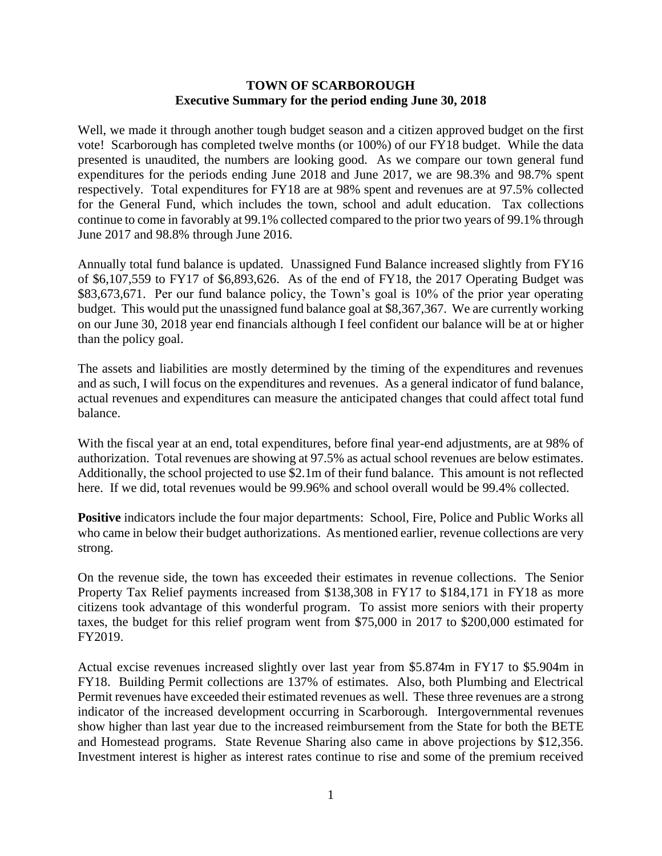#### **TOWN OF SCARBOROUGH Executive Summary for the period ending June 30, 2018**

Well, we made it through another tough budget season and a citizen approved budget on the first vote! Scarborough has completed twelve months (or 100%) of our FY18 budget. While the data presented is unaudited, the numbers are looking good. As we compare our town general fund expenditures for the periods ending June 2018 and June 2017, we are 98.3% and 98.7% spent respectively. Total expenditures for FY18 are at 98% spent and revenues are at 97.5% collected for the General Fund, which includes the town, school and adult education. Tax collections continue to come in favorably at 99.1% collected compared to the prior two years of 99.1% through June 2017 and 98.8% through June 2016.

Annually total fund balance is updated. Unassigned Fund Balance increased slightly from FY16 of \$6,107,559 to FY17 of \$6,893,626. As of the end of FY18, the 2017 Operating Budget was \$83,673,671. Per our fund balance policy, the Town's goal is 10% of the prior year operating budget. This would put the unassigned fund balance goal at \$8,367,367. We are currently working on our June 30, 2018 year end financials although I feel confident our balance will be at or higher than the policy goal.

The assets and liabilities are mostly determined by the timing of the expenditures and revenues and as such, I will focus on the expenditures and revenues. As a general indicator of fund balance, actual revenues and expenditures can measure the anticipated changes that could affect total fund balance.

With the fiscal year at an end, total expenditures, before final year-end adjustments, are at 98% of authorization. Total revenues are showing at 97.5% as actual school revenues are below estimates. Additionally, the school projected to use \$2.1m of their fund balance. This amount is not reflected here. If we did, total revenues would be 99.96% and school overall would be 99.4% collected.

**Positive** indicators include the four major departments: School, Fire, Police and Public Works all who came in below their budget authorizations. As mentioned earlier, revenue collections are very strong.

On the revenue side, the town has exceeded their estimates in revenue collections. The Senior Property Tax Relief payments increased from \$138,308 in FY17 to \$184,171 in FY18 as more citizens took advantage of this wonderful program. To assist more seniors with their property taxes, the budget for this relief program went from \$75,000 in 2017 to \$200,000 estimated for FY2019.

Actual excise revenues increased slightly over last year from \$5.874m in FY17 to \$5.904m in FY18. Building Permit collections are 137% of estimates. Also, both Plumbing and Electrical Permit revenues have exceeded their estimated revenues as well. These three revenues are a strong indicator of the increased development occurring in Scarborough. Intergovernmental revenues show higher than last year due to the increased reimbursement from the State for both the BETE and Homestead programs. State Revenue Sharing also came in above projections by \$12,356. Investment interest is higher as interest rates continue to rise and some of the premium received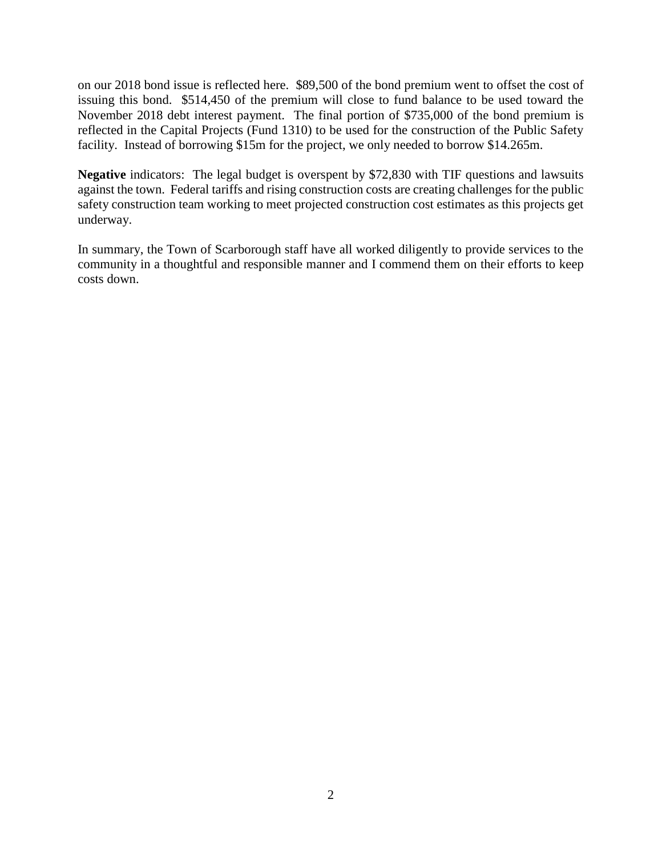on our 2018 bond issue is reflected here. \$89,500 of the bond premium went to offset the cost of issuing this bond. \$514,450 of the premium will close to fund balance to be used toward the November 2018 debt interest payment. The final portion of \$735,000 of the bond premium is reflected in the Capital Projects (Fund 1310) to be used for the construction of the Public Safety facility. Instead of borrowing \$15m for the project, we only needed to borrow \$14.265m.

**Negative** indicators: The legal budget is overspent by \$72,830 with TIF questions and lawsuits against the town. Federal tariffs and rising construction costs are creating challenges for the public safety construction team working to meet projected construction cost estimates as this projects get underway.

In summary, the Town of Scarborough staff have all worked diligently to provide services to the community in a thoughtful and responsible manner and I commend them on their efforts to keep costs down.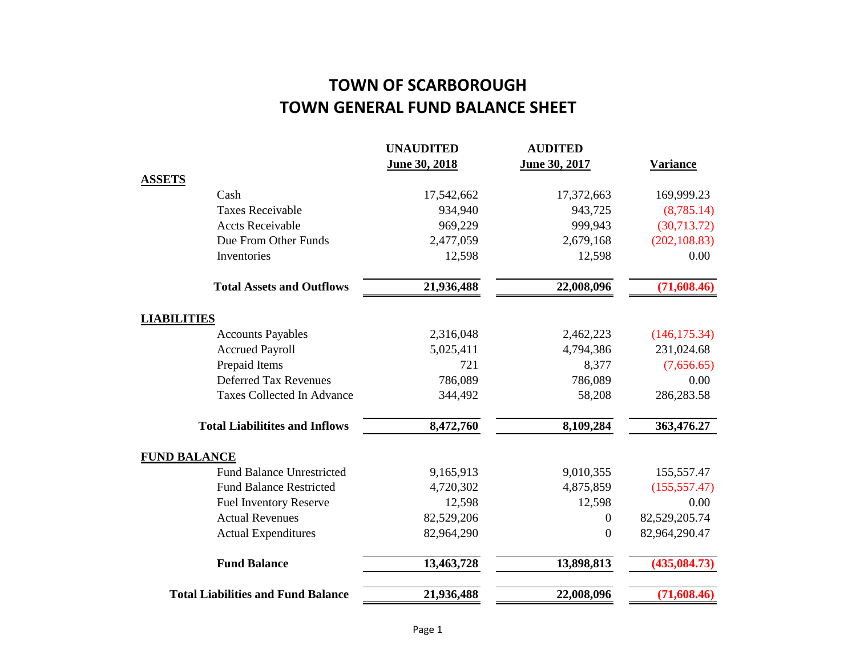# **TOWN OF SCARBOROUGH TOWN GENERAL FUND BALANCE SHEET**

|                                           | <b>UNAUDITED</b> | <b>AUDITED</b>   |                 |
|-------------------------------------------|------------------|------------------|-----------------|
|                                           | June 30, 2018    | June 30, 2017    | <b>Variance</b> |
| <b>ASSETS</b>                             |                  |                  |                 |
| Cash                                      | 17,542,662       | 17,372,663       | 169,999.23      |
| <b>Taxes Receivable</b>                   | 934,940          | 943,725          | (8,785.14)      |
| <b>Accts Receivable</b>                   | 969,229          | 999,943          | (30,713.72)     |
| Due From Other Funds                      | 2,477,059        | 2,679,168        | (202, 108.83)   |
| Inventories                               | 12,598           | 12,598           | 0.00            |
| <b>Total Assets and Outflows</b>          | 21,936,488       | 22,008,096       | (71,608.46)     |
| <b>LIABILITIES</b>                        |                  |                  |                 |
| <b>Accounts Payables</b>                  | 2,316,048        | 2,462,223        | (146, 175.34)   |
| <b>Accrued Payroll</b>                    | 5,025,411        | 4,794,386        | 231,024.68      |
| Prepaid Items                             | 721              | 8,377            | (7,656.65)      |
| <b>Deferred Tax Revenues</b>              | 786,089          | 786,089          | 0.00            |
| <b>Taxes Collected In Advance</b>         | 344,492          | 58,208           | 286,283.58      |
| <b>Total Liabilitites and Inflows</b>     | 8,472,760        | 8,109,284        | 363,476.27      |
| <b>FUND BALANCE</b>                       |                  |                  |                 |
| <b>Fund Balance Unrestricted</b>          | 9,165,913        | 9,010,355        | 155,557.47      |
| <b>Fund Balance Restricted</b>            | 4,720,302        | 4,875,859        | (155, 557.47)   |
| <b>Fuel Inventory Reserve</b>             | 12,598           | 12,598           | 0.00            |
| <b>Actual Revenues</b>                    | 82,529,206       | $\theta$         | 82,529,205.74   |
| <b>Actual Expenditures</b>                | 82,964,290       | $\boldsymbol{0}$ | 82,964,290.47   |
| <b>Fund Balance</b>                       | 13,463,728       | 13,898,813       | (435, 084.73)   |
| <b>Total Liabilities and Fund Balance</b> | 21,936,488       | 22,008,096       | (71,608.46)     |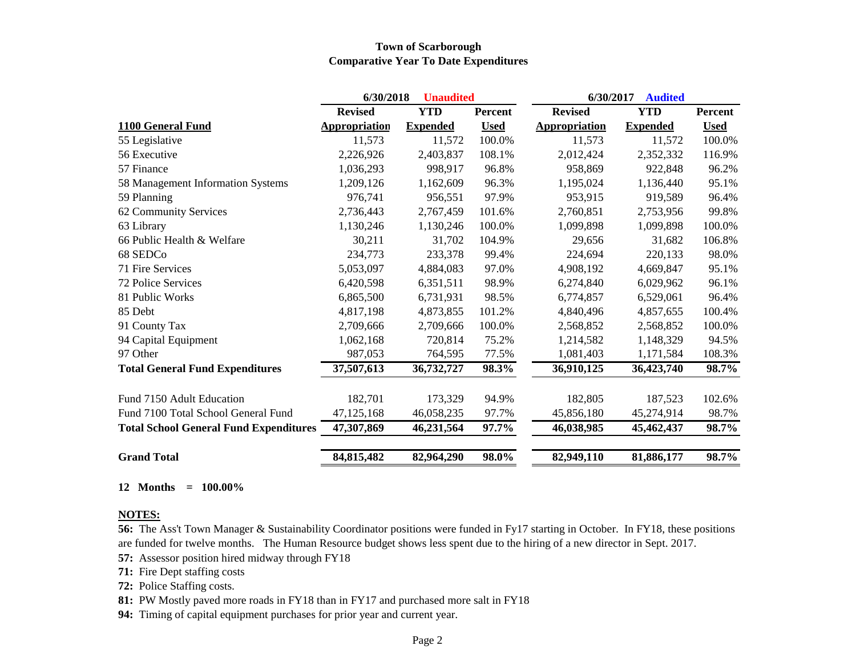#### **Town of Scarborough Comparative Year To Date Expenditures**

|                                               | 6/30/2018            | <b>Unaudited</b> |             | 6/30/2017<br><b>Audited</b> |                 |             |
|-----------------------------------------------|----------------------|------------------|-------------|-----------------------------|-----------------|-------------|
|                                               | <b>Revised</b>       | <b>YTD</b>       | Percent     | <b>Revised</b>              | <b>YTD</b>      | Percent     |
| 1100 General Fund                             | <b>Appropriation</b> | <b>Expended</b>  | <b>Used</b> | <b>Appropriation</b>        | <b>Expended</b> | <b>Used</b> |
| 55 Legislative                                | 11,573               | 11,572           | 100.0%      | 11,573                      | 11,572          | 100.0%      |
| 56 Executive                                  | 2,226,926            | 2,403,837        | 108.1%      | 2,012,424                   | 2,352,332       | 116.9%      |
| 57 Finance                                    | 1,036,293            | 998,917          | 96.8%       | 958,869                     | 922,848         | 96.2%       |
| 58 Management Information Systems             | 1,209,126            | 1,162,609        | 96.3%       | 1,195,024                   | 1,136,440       | 95.1%       |
| 59 Planning                                   | 976,741              | 956,551          | 97.9%       | 953,915                     | 919,589         | 96.4%       |
| 62 Community Services                         | 2,736,443            | 2,767,459        | 101.6%      | 2,760,851                   | 2,753,956       | 99.8%       |
| 63 Library                                    | 1,130,246            | 1,130,246        | 100.0%      | 1,099,898                   | 1,099,898       | 100.0%      |
| 66 Public Health & Welfare                    | 30,211               | 31,702           | 104.9%      | 29,656                      | 31,682          | 106.8%      |
| 68 SEDCo                                      | 234,773              | 233,378          | 99.4%       | 224,694                     | 220,133         | 98.0%       |
| 71 Fire Services                              | 5,053,097            | 4,884,083        | 97.0%       | 4,908,192                   | 4,669,847       | 95.1%       |
| 72 Police Services                            | 6,420,598            | 6,351,511        | 98.9%       | 6,274,840                   | 6,029,962       | 96.1%       |
| 81 Public Works                               | 6,865,500            | 6,731,931        | 98.5%       | 6,774,857                   | 6,529,061       | 96.4%       |
| 85 Debt                                       | 4,817,198            | 4,873,855        | 101.2%      | 4,840,496                   | 4,857,655       | 100.4%      |
| 91 County Tax                                 | 2,709,666            | 2,709,666        | 100.0%      | 2,568,852                   | 2,568,852       | 100.0%      |
| 94 Capital Equipment                          | 1,062,168            | 720,814          | 75.2%       | 1,214,582                   | 1,148,329       | 94.5%       |
| 97 Other                                      | 987,053              | 764,595          | 77.5%       | 1,081,403                   | 1,171,584       | 108.3%      |
| <b>Total General Fund Expenditures</b>        | 37,507,613           | 36,732,727       | 98.3%       | 36,910,125                  | 36,423,740      | 98.7%       |
| Fund 7150 Adult Education                     | 182,701              | 173,329          | 94.9%       | 182,805                     | 187,523         | 102.6%      |
| Fund 7100 Total School General Fund           | 47,125,168           | 46,058,235       | 97.7%       | 45,856,180                  | 45,274,914      | 98.7%       |
| <b>Total School General Fund Expenditures</b> | 47,307,869           | 46,231,564       | 97.7%       | 46,038,985                  | 45,462,437      | 98.7%       |
| <b>Grand Total</b>                            | 84, 815, 482         | 82,964,290       | 98.0%       | 82,949,110                  | 81,886,177      | 98.7%       |

#### **12 Months = 100.00%**

#### **NOTES:**

**56:** The Ass't Town Manager & Sustainability Coordinator positions were funded in Fy17 starting in October. In FY18, these positions are funded for twelve months. The Human Resource budget shows less spent due to the hiring of a new director in Sept. 2017.

**57:** Assessor position hired midway through FY18

**71:** Fire Dept staffing costs

**72:** Police Staffing costs.

**81:** PW Mostly paved more roads in FY18 than in FY17 and purchased more salt in FY18

**94:** Timing of capital equipment purchases for prior year and current year.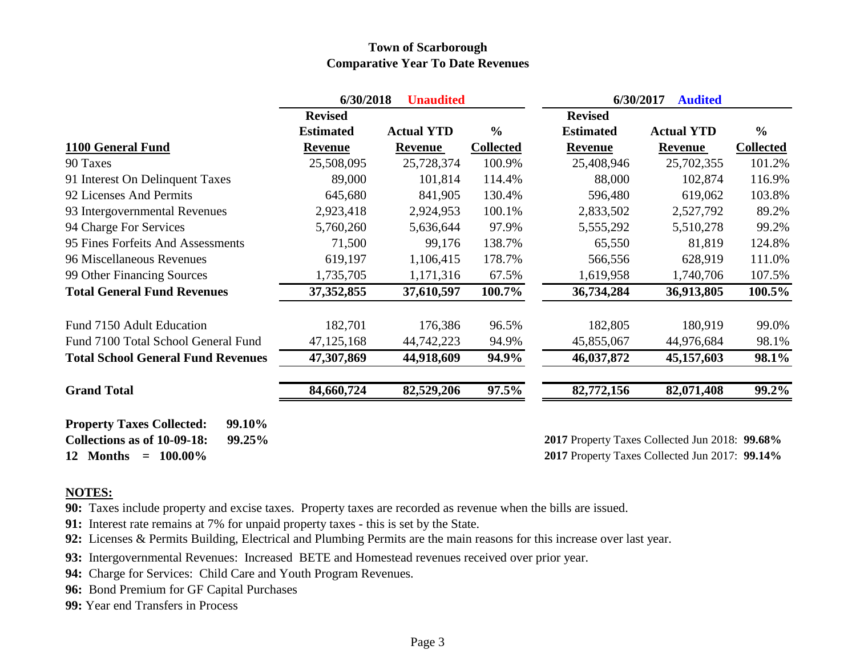### **Town of Scarborough Comparative Year To Date Revenues**

|                                                                                     | 6/30/2018<br><b>Unaudited</b> |                   |                  | 6/30/2017<br><b>Audited</b>                    |                   |                  |  |
|-------------------------------------------------------------------------------------|-------------------------------|-------------------|------------------|------------------------------------------------|-------------------|------------------|--|
|                                                                                     | <b>Revised</b>                |                   |                  | <b>Revised</b>                                 |                   |                  |  |
|                                                                                     | <b>Estimated</b>              | <b>Actual YTD</b> | $\frac{0}{0}$    | <b>Estimated</b>                               | <b>Actual YTD</b> | $\frac{6}{6}$    |  |
| 1100 General Fund                                                                   | Revenue                       | <b>Revenue</b>    | <b>Collected</b> | Revenue                                        | Revenue           | <b>Collected</b> |  |
| 90 Taxes                                                                            | 25,508,095                    | 25,728,374        | 100.9%           | 25,408,946                                     | 25,702,355        | 101.2%           |  |
| 91 Interest On Delinquent Taxes                                                     | 89,000                        | 101,814           | 114.4%           | 88,000                                         | 102,874           | 116.9%           |  |
| 92 Licenses And Permits                                                             | 645,680                       | 841,905           | 130.4%           | 596,480                                        | 619,062           | 103.8%           |  |
| 93 Intergovernmental Revenues                                                       | 2,923,418                     | 2,924,953         | 100.1%           | 2,833,502                                      | 2,527,792         | 89.2%            |  |
| 94 Charge For Services                                                              | 5,760,260                     | 5,636,644         | 97.9%            | 5,555,292                                      | 5,510,278         | 99.2%            |  |
| 95 Fines Forfeits And Assessments                                                   | 71,500                        | 99,176            | 138.7%           | 65,550                                         | 81,819            | 124.8%           |  |
| 96 Miscellaneous Revenues                                                           | 619,197                       | 1,106,415         | 178.7%           | 566,556                                        | 628,919           | 111.0%           |  |
| 99 Other Financing Sources                                                          | 1,735,705                     | 1,171,316         | 67.5%            | 1,619,958                                      | 1,740,706         | 107.5%           |  |
| <b>Total General Fund Revenues</b>                                                  | 37, 352, 855                  | 37,610,597        | 100.7%           | 36,734,284                                     | 36,913,805        | 100.5%           |  |
| Fund 7150 Adult Education                                                           | 182,701                       | 176,386           | 96.5%            | 182,805                                        | 180,919           | 99.0%            |  |
| Fund 7100 Total School General Fund                                                 | 47, 125, 168                  | 44,742,223        | 94.9%            | 45,855,067                                     | 44,976,684        | 98.1%            |  |
| <b>Total School General Fund Revenues</b>                                           | 47,307,869                    | 44,918,609        | 94.9%            | 46,037,872                                     | 45,157,603        | 98.1%            |  |
| <b>Grand Total</b>                                                                  | 84,660,724                    | 82,529,206        | 97.5%            | 82,772,156                                     | 82,071,408        | $99.2\%$         |  |
| <b>Property Taxes Collected:</b><br>99.10%<br>Collections as of 10-09-18:<br>99.25% |                               |                   |                  | 2017 Property Taxes Collected Jun 2018: 99.68% |                   |                  |  |
| $= 100.00\%$<br>12 Months                                                           |                               |                   |                  | 2017 Property Taxes Collected Jun 2017: 99.14% |                   |                  |  |

#### **NOTES:**

**90:** Taxes include property and excise taxes. Property taxes are recorded as revenue when the bills are issued.

**91:** Interest rate remains at 7% for unpaid property taxes - this is set by the State.

**92:** Licenses & Permits Building, Electrical and Plumbing Permits are the main reasons for this increase over last year.

**93:** Intergovernmental Revenues: Increased BETE and Homestead revenues received over prior year.

**94:** Charge for Services: Child Care and Youth Program Revenues.

**96:** Bond Premium for GF Capital Purchases

**99:** Year end Transfers in Process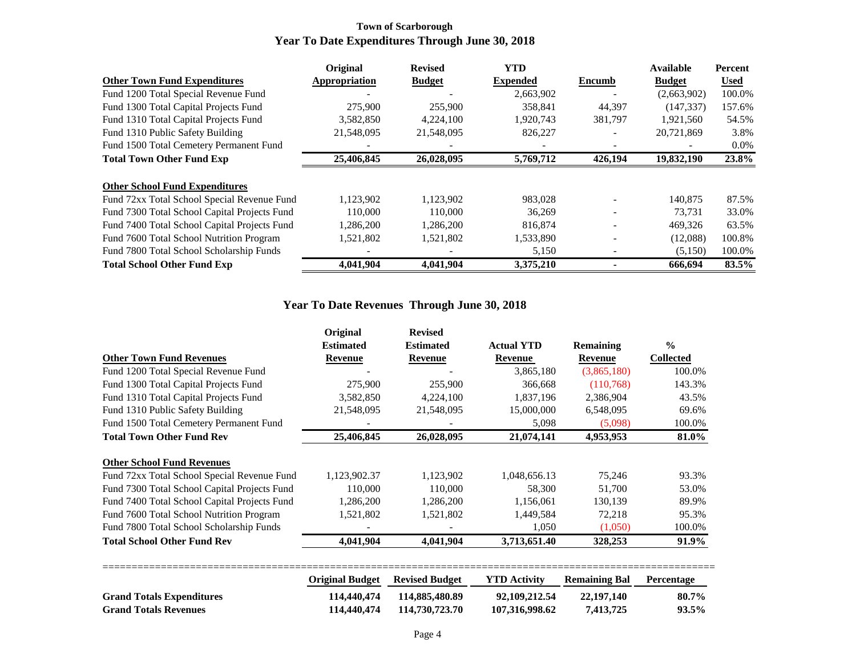### **Town of Scarborough Year To Date Expenditures Through June 30, 2018**

|                                              | Original      | <b>Revised</b> | <b>YTD</b>      |                          | Available     | <b>Percent</b> |
|----------------------------------------------|---------------|----------------|-----------------|--------------------------|---------------|----------------|
| <b>Other Town Fund Expenditures</b>          | Appropriation | <b>Budget</b>  | <b>Expended</b> | <b>Encumb</b>            | <b>Budget</b> | <b>Used</b>    |
| Fund 1200 Total Special Revenue Fund         |               |                | 2,663,902       |                          | (2,663,902)   | 100.0%         |
| Fund 1300 Total Capital Projects Fund        | 275,900       | 255,900        | 358,841         | 44,397                   | (147, 337)    | 157.6%         |
| Fund 1310 Total Capital Projects Fund        | 3,582,850     | 4,224,100      | 1,920,743       | 381,797                  | 1,921,560     | 54.5%          |
| Fund 1310 Public Safety Building             | 21,548,095    | 21,548,095     | 826,227         | $\overline{\phantom{a}}$ | 20,721,869    | 3.8%           |
| Fund 1500 Total Cemetery Permanent Fund      |               |                |                 |                          |               | $0.0\%$        |
| <b>Total Town Other Fund Exp</b>             | 25,406,845    | 26,028,095     | 5,769,712       | 426,194                  | 19,832,190    | 23.8%          |
|                                              |               |                |                 |                          |               |                |
| <b>Other School Fund Expenditures</b>        |               |                |                 |                          |               |                |
| Fund 72xx Total School Special Revenue Fund  | 1,123,902     | 1,123,902      | 983,028         |                          | 140,875       | 87.5%          |
| Fund 7300 Total School Capital Projects Fund | 110,000       | 110,000        | 36,269          |                          | 73.731        | 33.0%          |
| Fund 7400 Total School Capital Projects Fund | 1,286,200     | 1,286,200      | 816,874         |                          | 469,326       | 63.5%          |
| Fund 7600 Total School Nutrition Program     | 1,521,802     | 1,521,802      | 1,533,890       |                          | (12,088)      | 100.8%         |
| Fund 7800 Total School Scholarship Funds     |               |                | 5,150           |                          | (5,150)       | 100.0%         |
| <b>Total School Other Fund Exp</b>           | 4,041,904     | 4,041,904      | 3,375,210       |                          | 666,694       | 83.5%          |

## **Year To Date Revenues Through June 30, 2018**

|                                              | Original         | <b>Revised</b>   |                   |                  |                  |
|----------------------------------------------|------------------|------------------|-------------------|------------------|------------------|
|                                              | <b>Estimated</b> | <b>Estimated</b> | <b>Actual YTD</b> | <b>Remaining</b> | $\frac{0}{0}$    |
| <b>Other Town Fund Revenues</b>              | Revenue          | Revenue          | Revenue           | Revenue          | <b>Collected</b> |
| Fund 1200 Total Special Revenue Fund         |                  |                  | 3,865,180         | (3,865,180)      | 100.0%           |
| Fund 1300 Total Capital Projects Fund        | 275,900          | 255,900          | 366,668           | (110, 768)       | 143.3%           |
| Fund 1310 Total Capital Projects Fund        | 3,582,850        | 4,224,100        | 1,837,196         | 2,386,904        | 43.5%            |
| Fund 1310 Public Safety Building             | 21,548,095       | 21,548,095       | 15,000,000        | 6,548,095        | 69.6%            |
| Fund 1500 Total Cemetery Permanent Fund      |                  |                  | 5,098             | (5,098)          | 100.0%           |
| <b>Total Town Other Fund Rev</b>             | 25,406,845       | 26,028,095       | 21,074,141        | 4,953,953        | 81.0%            |
|                                              |                  |                  |                   |                  |                  |
| <b>Other School Fund Revenues</b>            |                  |                  |                   |                  |                  |
| Fund 72xx Total School Special Revenue Fund  | 1,123,902.37     | 1,123,902        | 1,048,656.13      | 75,246           | 93.3%            |
| Fund 7300 Total School Capital Projects Fund | 110,000          | 110,000          | 58,300            | 51,700           | 53.0%            |
| Fund 7400 Total School Capital Projects Fund | 1,286,200        | 1,286,200        | 1,156,061         | 130,139          | 89.9%            |
| Fund 7600 Total School Nutrition Program     | 1,521,802        | 1,521,802        | 1,449,584         | 72,218           | 95.3%            |
| Fund 7800 Total School Scholarship Funds     |                  |                  | 1,050             | (1,050)          | 100.0%           |
| <b>Total School Other Fund Rev</b>           | 4,041,904        | 4,041,904        | 3,713,651.40      | 328,253          | 91.9%            |

|                                  | <b>Original Budget</b> Revised Budget |                | <b>YTD Activity</b> | <b>Remaining Bal Percentage</b> |       |
|----------------------------------|---------------------------------------|----------------|---------------------|---------------------------------|-------|
| <b>Grand Totals Expenditures</b> | 114,440,474                           | 114.885.480.89 | 92,109,212,54       | 22.197.140                      | 80.7% |
| <b>Grand Totals Revenues</b>     | 114,440,474                           | 114,730,723.70 | 107,316,998.62      | 7.413.725                       | 93.5% |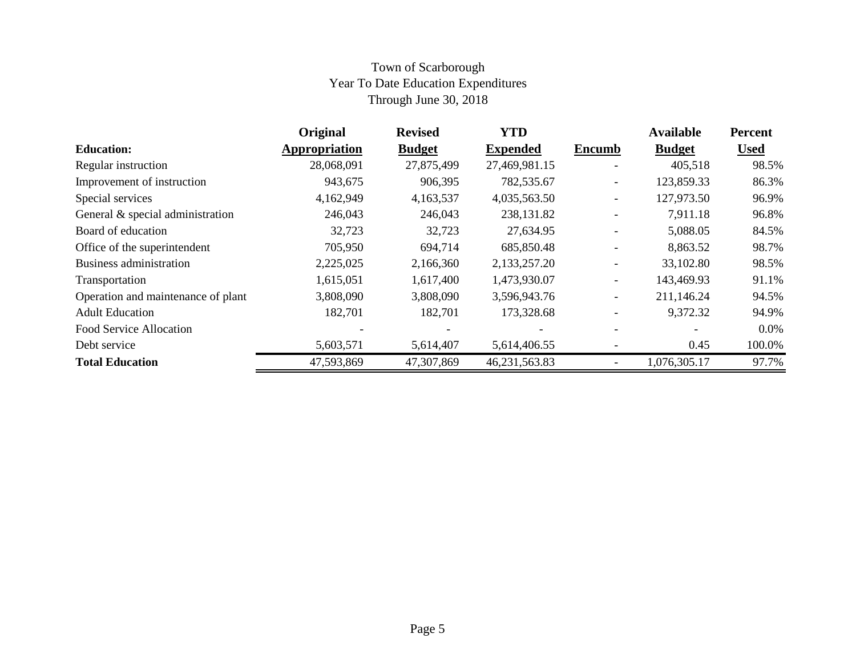## Town of Scarborough Year To Date Education Expenditures Through June 30, 2018

|                                    | Original      | <b>Revised</b> | <b>YTD</b>      |                          | <b>Available</b> | <b>Percent</b> |
|------------------------------------|---------------|----------------|-----------------|--------------------------|------------------|----------------|
| <b>Education:</b>                  | Appropriation | <b>Budget</b>  | <b>Expended</b> | <b>Encumb</b>            | <b>Budget</b>    | <b>Used</b>    |
| Regular instruction                | 28,068,091    | 27,875,499     | 27,469,981.15   | $\qquad \qquad -$        | 405,518          | 98.5%          |
| Improvement of instruction         | 943,675       | 906,395        | 782,535.67      | $\overline{\phantom{0}}$ | 123,859.33       | 86.3%          |
| Special services                   | 4,162,949     | 4,163,537      | 4,035,563.50    | $\qquad \qquad -$        | 127,973.50       | 96.9%          |
| General & special administration   | 246,043       | 246,043        | 238,131.82      | $\overline{\phantom{0}}$ | 7,911.18         | 96.8%          |
| Board of education                 | 32,723        | 32,723         | 27,634.95       |                          | 5,088.05         | 84.5%          |
| Office of the superintendent       | 705,950       | 694,714        | 685,850.48      |                          | 8,863.52         | 98.7%          |
| <b>Business administration</b>     | 2,225,025     | 2,166,360      | 2,133,257.20    |                          | 33,102.80        | 98.5%          |
| Transportation                     | 1,615,051     | 1,617,400      | 1,473,930.07    | $\overline{\phantom{0}}$ | 143,469.93       | 91.1%          |
| Operation and maintenance of plant | 3,808,090     | 3,808,090      | 3,596,943.76    |                          | 211,146.24       | 94.5%          |
| <b>Adult Education</b>             | 182,701       | 182,701        | 173,328.68      |                          | 9,372.32         | 94.9%          |
| Food Service Allocation            |               |                |                 |                          |                  | $0.0\%$        |
| Debt service                       | 5,603,571     | 5,614,407      | 5,614,406.55    |                          | 0.45             | 100.0%         |
| <b>Total Education</b>             | 47,593,869    | 47,307,869     | 46,231,563.83   |                          | 1,076,305.17     | 97.7%          |